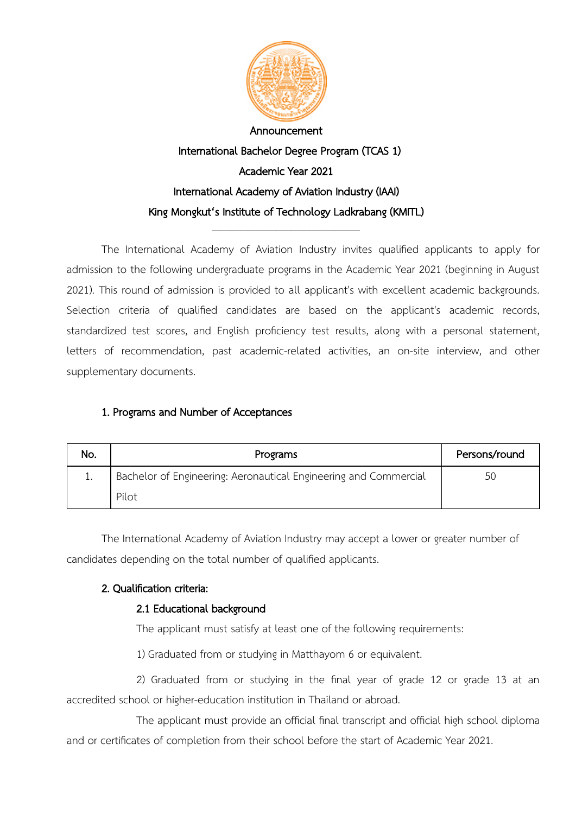

# International Bachelor Degree Program (TCAS 1) Academic Year 2021 International Academy of Aviation Industry (IAAI) King Mongkut's Institute of Technology Ladkrabang (KMITL)

\_\_\_\_\_\_\_\_\_\_\_\_\_\_\_\_\_\_\_\_\_\_\_\_\_\_\_\_\_\_\_\_\_\_\_\_\_\_\_\_\_\_\_\_\_\_\_\_\_\_\_\_\_\_\_\_\_\_

The International Academy of Aviation Industry invites qualified applicants to apply for admission to the following undergraduate programs in the Academic Year 2021 (beginning in August 2021). This round of admission is provided to all applicant's with excellent academic backgrounds. Selection criteria of qualified candidates are based on the applicant's academic records, standardized test scores, and English proficiency test results, along with a personal statement, letters of recommendation, past academic-related activities, an on-site interview, and other supplementary documents.

## 1. Programs and Number of Acceptances

| No. | Programs                                                         | Persons/round |
|-----|------------------------------------------------------------------|---------------|
| ٠.  | Bachelor of Engineering: Aeronautical Engineering and Commercial | 5С            |
|     | Pilot                                                            |               |

The International Academy of Aviation Industry may accept a lower or greater number of candidates depending on the total number of qualified applicants.

## 2. Qualification criteria:

## 2.1 Educational background

The applicant must satisfy at least one of the following requirements:

1) Graduated from or studying in Matthayom 6 or equivalent.

2) Graduated from or studying in the final year of grade 12 or grade 13 at an accredited school or higher-education institution in Thailand or abroad.

The applicant must provide an official final transcript and official high school diploma and or certificates of completion from their school before the start of Academic Year 2021.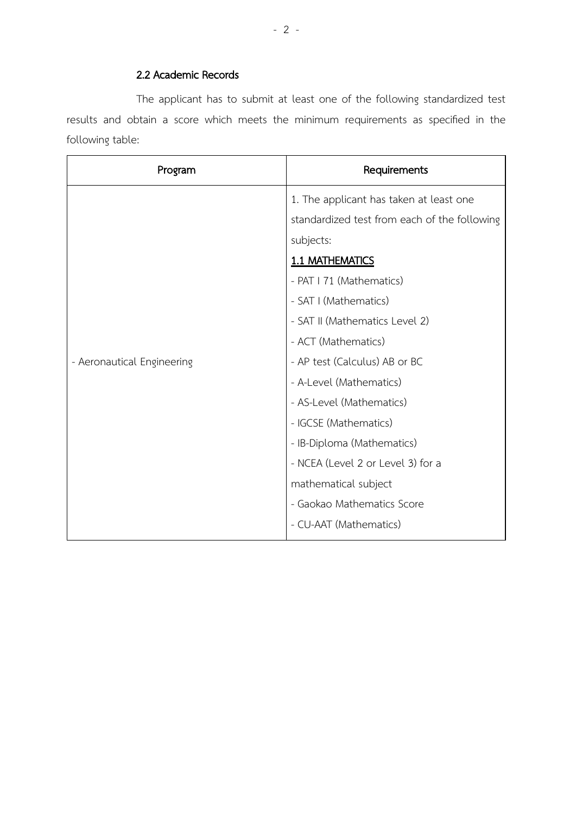### 2.2 Academic Records

The applicant has to submit at least one of the following standardized test results and obtain a score which meets the minimum requirements as specified in the following table:

| Program                    | Requirements                                 |
|----------------------------|----------------------------------------------|
|                            | 1. The applicant has taken at least one      |
|                            | standardized test from each of the following |
|                            | subjects:                                    |
|                            | 1.1 MATHEMATICS                              |
|                            | - PAT I 71 (Mathematics)                     |
|                            | - SAT I (Mathematics)                        |
|                            | - SAT II (Mathematics Level 2)               |
|                            | - ACT (Mathematics)                          |
| - Aeronautical Engineering | - AP test (Calculus) AB or BC                |
|                            | - A-Level (Mathematics)                      |
|                            | - AS-Level (Mathematics)                     |
|                            | - IGCSE (Mathematics)                        |
|                            | - IB-Diploma (Mathematics)                   |
|                            | - NCEA (Level 2 or Level 3) for a            |
|                            | mathematical subject                         |
|                            | - Gaokao Mathematics Score                   |
|                            | - CU-AAT (Mathematics)                       |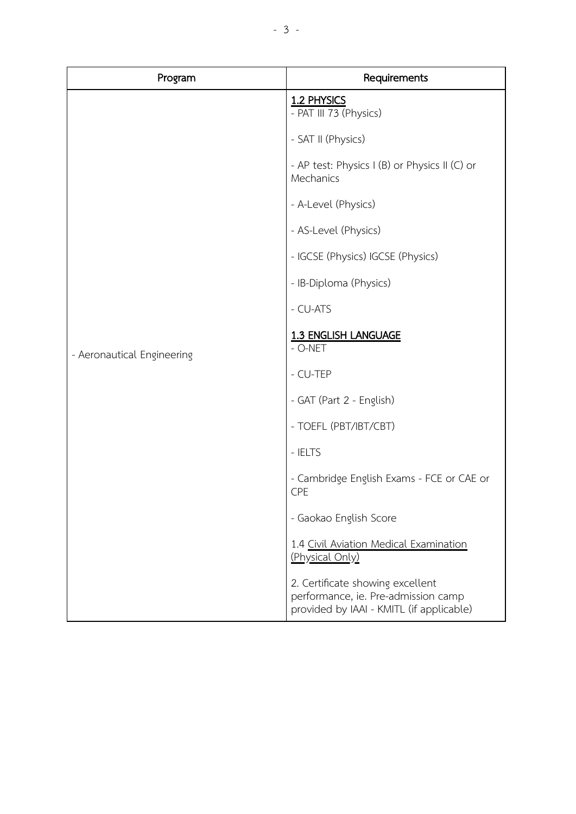| Program                    | Requirements                                                                                                        |
|----------------------------|---------------------------------------------------------------------------------------------------------------------|
|                            | 1.2 PHYSICS<br>- PAT III 73 (Physics)                                                                               |
|                            | - SAT II (Physics)                                                                                                  |
|                            | - AP test: Physics I (B) or Physics II (C) or<br>Mechanics                                                          |
|                            | - A-Level (Physics)                                                                                                 |
|                            | - AS-Level (Physics)                                                                                                |
|                            | - IGCSE (Physics) IGCSE (Physics)                                                                                   |
|                            | - IB-Diploma (Physics)                                                                                              |
|                            | - CU-ATS                                                                                                            |
| - Aeronautical Engineering | <b>1.3 ENGLISH LANGUAGE</b><br>- O-NET                                                                              |
|                            | - CU-TEP                                                                                                            |
|                            | - GAT (Part 2 - English)                                                                                            |
|                            | - TOEFL (PBT/IBT/CBT)                                                                                               |
|                            | - IELTS                                                                                                             |
|                            | - Cambridge English Exams - FCE or CAE or<br>CPE                                                                    |
|                            | - Gaokao English Score                                                                                              |
|                            | 1.4 Civil Aviation Medical Examination<br>(Physical Only)                                                           |
|                            | 2. Certificate showing excellent<br>performance, ie. Pre-admission camp<br>provided by IAAI - KMITL (if applicable) |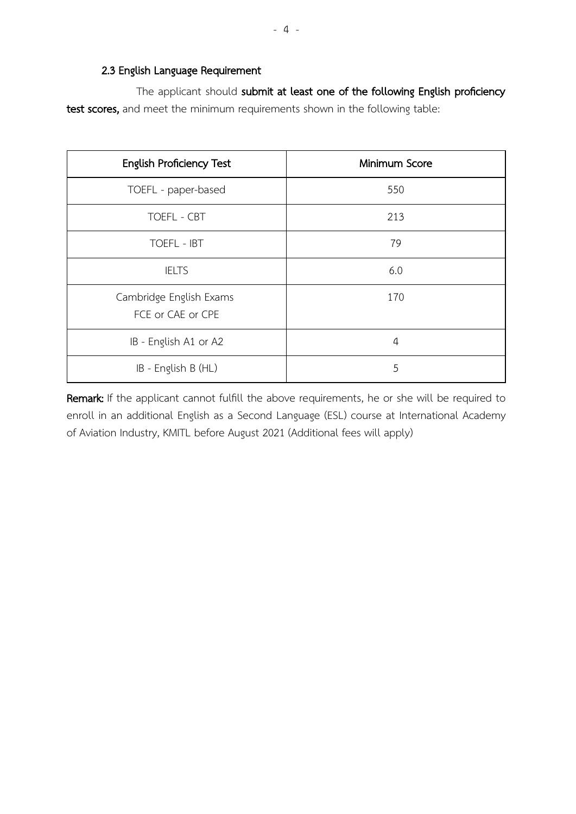### 2.3 English Language Requirement

The applicant should submit at least one of the following English proficiency test scores, and meet the minimum requirements shown in the following table:

| <b>English Proficiency Test</b>              | Minimum Score  |
|----------------------------------------------|----------------|
| TOEFL - paper-based                          | 550            |
| TOEFL - CBT                                  | 213            |
| TOEFL - IBT                                  | 79             |
| <b>IELTS</b>                                 | 6.0            |
| Cambridge English Exams<br>FCE or CAE or CPE | 170            |
| IB - English A1 or A2                        | $\overline{4}$ |
| IB - English B (HL)                          | 5              |

Remark: If the applicant cannot fulfill the above requirements, he or she will be required to enroll in an additional English as a Second Language (ESL) course at International Academy of Aviation Industry, KMITL before August 2021 (Additional fees will apply)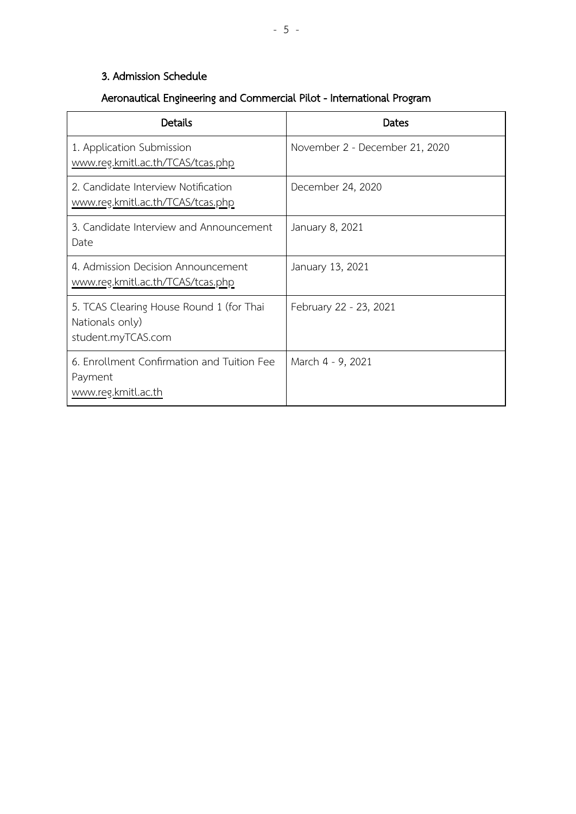## 3. Admission Schedule

## Aeronautical Engineering and Commercial Pilot - International Program

| <b>Details</b>                                                                    | Dates                          |
|-----------------------------------------------------------------------------------|--------------------------------|
| 1. Application Submission<br>www.reg.kmitl.ac.th/TCAS/tcas.php                    | November 2 - December 21, 2020 |
| 2. Candidate Interview Notification<br>www.reg.kmitl.ac.th/TCAS/tcas.php          | December 24, 2020              |
| 3. Candidate Interview and Announcement<br>Date                                   | January 8, 2021                |
| 4. Admission Decision Announcement<br>www.reg.kmitl.ac.th/TCAS/tcas.php           | January 13, 2021               |
| 5. TCAS Clearing House Round 1 (for Thai<br>Nationals only)<br>student.myTCAS.com | February 22 - 23, 2021         |
| 6. Enrollment Confirmation and Tuition Fee<br>Payment<br>www.reg.kmitl.ac.th      | March 4 - 9, 2021              |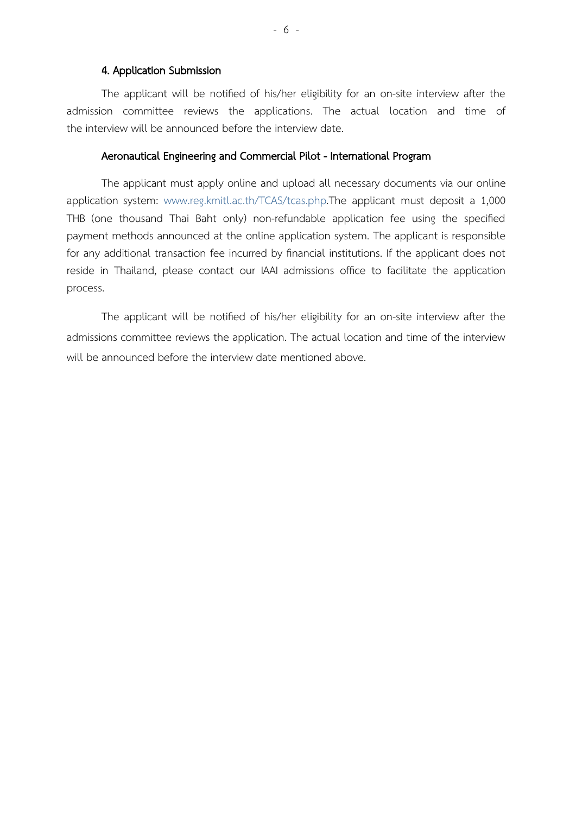### 4. Application Submission

The applicant will be notified of his/her eligibility for an on-site interview after the admission committee reviews the applications. The actual location and time of the interview will be announced before the interview date.

### Aeronautical Engineering and Commercial Pilot - International Program

The applicant must apply online and upload all necessary documents via our online application system: [www.reg.kmitl.ac.th/TCAS/tcas.php.](http://www.reg.kmitl.ac.th/TCAS/tcas.php)The applicant must deposit a 1,000 THB (one thousand Thai Baht only) non-refundable application fee using the specified payment methods announced at the online application system. The applicant is responsible for any additional transaction fee incurred by financial institutions. If the applicant does not reside in Thailand, please contact our IAAI admissions office to facilitate the application process.

The applicant will be notified of his/her eligibility for an on-site interview after the admissions committee reviews the application. The actual location and time of the interview will be announced before the interview date mentioned above.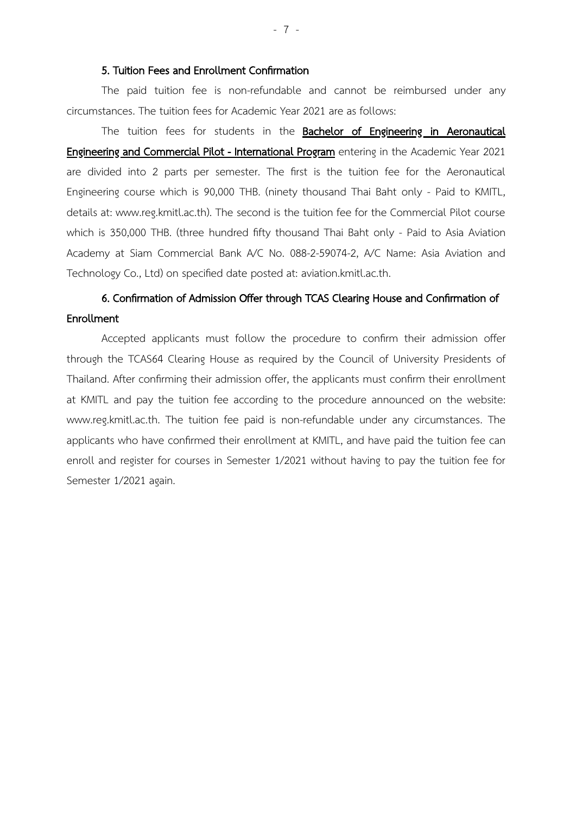#### 5. Tuition Fees and Enrollment Confirmation

The paid tuition fee is non-refundable and cannot be reimbursed under any circumstances. The tuition fees for Academic Year 2021 are as follows:

The tuition fees for students in the **Bachelor of Engineering in Aeronautical Engineering and Commercial Pilot - International Program** entering in the Academic Year 2021 are divided into 2 parts per semester. The first is the tuition fee for the Aeronautical Engineering course which is 90,000 THB. (ninety thousand Thai Baht only - Paid to KMITL, details at: [www.reg.kmitl.ac.th\)](http://www.reg.kmitl.ac.th/). The second is the tuition fee for the Commercial Pilot course which is 350,000 THB. (three hundred fifty thousand Thai Baht only - Paid to Asia Aviation Academy at Siam Commercial Bank A/C No. 088-2-59074-2, A/C Name: Asia Aviation and Technology Co., Ltd) on specified date posted at: aviation.kmitl.ac.th.

## 6. Confirmation of Admission Offer through TCAS Clearing House and Confirmation of Enrollment

Accepted applicants must follow the procedure to confirm their admission offer through the TCAS64 Clearing House as required by the Council of University Presidents of Thailand. After confirming their admission offer, the applicants must confirm their enrollment at KMITL and pay the tuition fee according to the procedure announced on the website: www.reg.kmitl.ac.th. The tuition fee paid is non-refundable under any circumstances. The applicants who have confirmed their enrollment at KMITL, and have paid the tuition fee can enroll and register for courses in Semester 1/2021 without having to pay the tuition fee for Semester 1/2021 again.